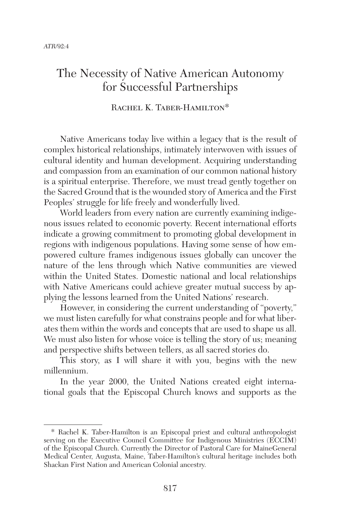## The Necessity of Native American Autonomy for Successful Partnerships

## RACHEL K. TABER-HAMILTON\*

Native Americans today live within a legacy that is the result of complex historical relationships, intimately interwoven with issues of cultural identity and human development. Acquiring understanding and compassion from an examination of our common national history is a spiritual enterprise. Therefore, we must tread gently together on the Sacred Ground that is the wounded story of America and the First Peoples' struggle for life freely and wonderfully lived.

World leaders from every nation are currently examining indigenous issues related to economic poverty. Recent international efforts indicate a growing commitment to promoting global development in regions with indigenous populations. Having some sense of how empowered culture frames indigenous issues globally can uncover the nature of the lens through which Native communities are viewed within the United States. Domestic national and local relationships with Native Americans could achieve greater mutual success by applying the lessons learned from the United Nations' research.

However, in considering the current understanding of "poverty," we must listen carefully for what constrains people and for what liberates them within the words and concepts that are used to shape us all. We must also listen for whose voice is telling the story of us; meaning and perspective shifts between tellers, as all sacred stories do.

This story, as I will share it with you, begins with the new millennium.

In the year 2000, the United Nations created eight international goals that the Episcopal Church knows and supports as the

<sup>\*</sup> Rachel K. Taber-Hamilton is an Episcopal priest and cultural anthropologist serving on the Executive Council Committee for Indigenous Ministries (ECCIM) of the Episcopal Church. Currently the Director of Pastoral Care for MaineGeneral Medical Center, Augusta, Maine, Taber-Hamilton's cultural heritage includes both Shackan First Nation and American Colonial ancestry.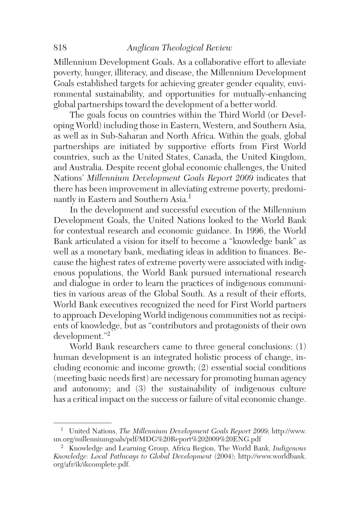Millennium Development Goals. As a collaborative effort to alleviate poverty, hunger, illiteracy, and disease, the Millennium Development Goals established targets for achieving greater gender equality, environmental sustainability, and opportunities for mutually-enhancing global partnerships toward the development of a better world.

The goals focus on countries within the Third World (or Developing World) including those in Eastern, Western, and Southern Asia, as well as in Sub-Saharan and North Africa. Within the goals, global partnerships are initiated by supportive efforts from First World countries, such as the United States, Canada, the United Kingdom, and Australia. Despite recent global economic challenges, the United Nations' *Millennium Development Goals Report 2009* indicates that there has been improvement in alleviating extreme poverty, predominantly in Eastern and Southern Asia.<sup>1</sup>

In the development and successful execution of the Millennium Development Goals, the United Nations looked to the World Bank for contextual research and economic guidance. In 1996, the World Bank articulated a vision for itself to become a "knowledge bank" as well as a monetary bank, mediating ideas in addition to finances. Because the highest rates of extreme poverty were associated with indigenous populations, the World Bank pursued international research and dialogue in order to learn the practices of indigenous communities in various areas of the Global South. As a result of their efforts, World Bank executives recognized the need for First World partners to approach Developing World indigenous communities not as recipients of knowledge, but as "contributors and protagonists of their own development."2

World Bank researchers came to three general conclusions: (1) human development is an integrated holistic process of change, including economic and income growth; (2) essential social conditions (meeting basic needs first) are necessary for promoting human agency and autonomy; and (3) the sustainability of indigenous culture has a critical impact on the success or failure of vital economic change.

<sup>1</sup> United Nations, *The Millennium Development Goals Report 2009*; http://www. un.org/millenniumgoals/pdf/MDG%20Report%202009%20ENG.pdf

<sup>2</sup> Knowledge and Learning Group, Africa Region, The World Bank, *Indigenous Knowledge: Local Pathways to Global Development* (2004); http://www.worldbank. org/afr/ik/ikcomplete.pdf.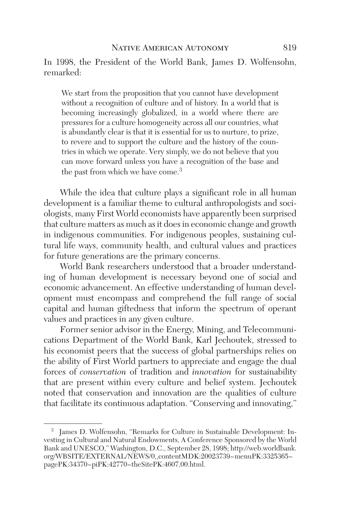In 1998, the President of the World Bank, James D. Wolfensohn, remarked:

We start from the proposition that you cannot have development without a recognition of culture and of history. In a world that is becoming increasingly globalized, in a world where there are pressures for a culture homogeneity across all our countries, what is abundantly clear is that it is essential for us to nurture, to prize, to revere and to support the culture and the history of the countries in which we operate. Very simply, we do not believe that you can move forward unless you have a recognition of the base and the past from which we have come.<sup>3</sup>

While the idea that culture plays a significant role in all human development is a familiar theme to cultural anthropologists and sociologists, many First World economists have apparently been surprised that culture matters as much as it does in economic change and growth in indigenous communities. For indigenous peoples, sustaining cultural life ways, community health, and cultural values and practices for future generations are the primary concerns.

World Bank researchers understood that a broader understanding of human development is necessary beyond one of social and economic advancement. An effective understanding of human development must encompass and comprehend the full range of social capital and human giftedness that inform the spectrum of operant values and practices in any given culture.

Former senior advisor in the Energy, Mining, and Telecommunications Department of the World Bank, Karl Jechoutek, stressed to his economist peers that the success of global partnerships relies on the ability of First World partners to appreciate and engage the dual forces of *conservation* of tradition and *innovation* for sustainability that are present within every culture and belief system. Jechoutek noted that conservation and innovation are the qualities of culture that facilitate its continuous adaptation. "Conserving and innovating,"

<sup>3</sup> James D. Wolfensohn, "Remarks for Culture in Sustainable Development: Investing in Cultural and Natural Endowments, A Conference Sponsored by the World Bank and UNESCO," Washington, D.C., September 28, 1998; http://web.worldbank. org/WBSITE/EXTERNAL/NEWS/0,,contentMDK:20023739~menuPK:3325365~ pagePK:34370~piPK:42770~theSitePK:4607,00.html.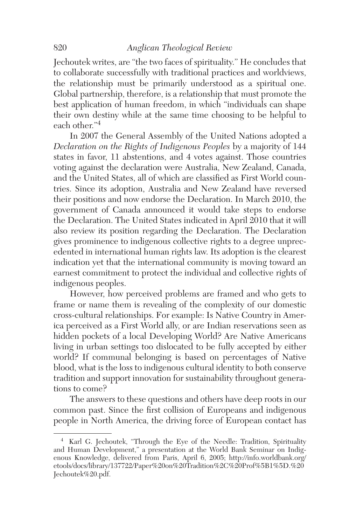## 820 *Anglican Theological Review*

Jechoutek writes, are "the two faces of spirituality." He concludes that to collaborate successfully with traditional practices and worldviews, the relationship must be primarily understood as a spiritual one. Global partnership, therefore, is a relationship that must promote the best application of human freedom, in which "individuals can shape their own destiny while at the same time choosing to be helpful to each other."4

In 2007 the General Assembly of the United Nations adopted a *Declaration on the Rights of Indigenous Peoples* by a majority of 144 states in favor, 11 abstentions, and 4 votes against. Those countries voting against the declaration were Australia, New Zealand, Canada, and the United States, all of which are classified as First World countries. Since its adoption, Australia and New Zealand have reversed their positions and now endorse the Declaration. In March 2010, the government of Canada announced it would take steps to endorse the Declaration. The United States indicated in April 2010 that it will also review its position regarding the Declaration. The Declaration gives prominence to indigenous collective rights to a degree unprecedented in international human rights law. Its adoption is the clearest indication yet that the international community is moving toward an earnest commitment to protect the individual and collective rights of indigenous peoples.

However, how perceived problems are framed and who gets to frame or name them is revealing of the complexity of our domestic cross-cultural relationships. For example: Is Native Country in America perceived as a First World ally, or are Indian reservations seen as hidden pockets of a local Developing World? Are Native Americans living in urban settings too dislocated to be fully accepted by either world? If communal belonging is based on percentages of Native blood, what is the loss to indigenous cultural identity to both conserve tradition and support innovation for sustainability throughout generations to come?

The answers to these questions and others have deep roots in our common past. Since the first collision of Europeans and indigenous people in North America, the driving force of European contact has

<sup>4</sup> Karl G. Jechoutek, "Through the Eye of the Needle: Tradition, Spirituality and Human Development," a presentation at the World Bank Seminar on Indigenous Knowledge, delivered from Paris, April 6, 2005; http://info.worldbank.org/ etools/docs/library/137722/Paper%20on%20Tradition%2C%20Prof%5B1%5D.%20 Jechoutek%20.pdf.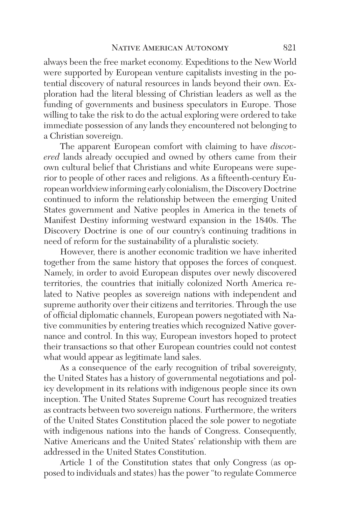always been the free market economy. Expeditions to the New World were supported by European venture capitalists investing in the potential discovery of natural resources in lands beyond their own. Exploration had the literal blessing of Christian leaders as well as the funding of governments and business speculators in Europe. Those willing to take the risk to do the actual exploring were ordered to take immediate possession of any lands they encountered not belonging to a Christian sovereign.

The apparent European comfort with claiming to have *discovered* lands already occupied and owned by others came from their own cultural belief that Christians and white Europeans were superior to people of other races and religions. As a fifteenth-century European worldview informing early colonialism, the Discovery Doctrine continued to inform the relationship between the emerging United States government and Native peoples in America in the tenets of Manifest Destiny informing westward expansion in the 1840s. The Discovery Doctrine is one of our country's continuing traditions in need of reform for the sustainability of a pluralistic society.

However, there is another economic tradition we have inherited together from the same history that opposes the forces of conquest. Namely, in order to avoid European disputes over newly discovered territories, the countries that initially colonized North America related to Native peoples as sovereign nations with independent and supreme authority over their citizens and territories. Through the use of official diplomatic channels, European powers negotiated with Native communities by entering treaties which recognized Native governance and control. In this way, European investors hoped to protect their transactions so that other European countries could not contest what would appear as legitimate land sales.

As a consequence of the early recognition of tribal sovereignty, the United States has a history of governmental negotiations and policy development in its relations with indigenous people since its own inception. The United States Supreme Court has recognized treaties as contracts between two sovereign nations. Furthermore, the writers of the United States Constitution placed the sole power to negotiate with indigenous nations into the hands of Congress. Consequently, Native Americans and the United States' relationship with them are addressed in the United States Constitution.

Article 1 of the Constitution states that only Congress (as opposed to individuals and states) has the power "to regulate Commerce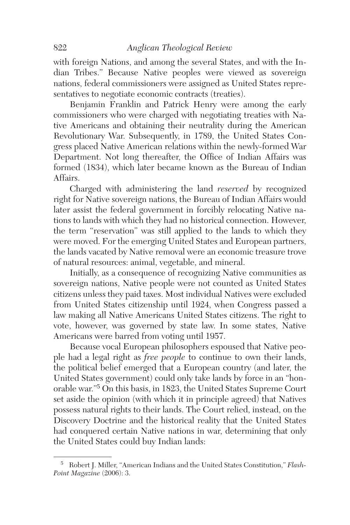with foreign Nations, and among the several States, and with the Indian Tribes." Because Native peoples were viewed as sovereign nations, federal commissioners were assigned as United States representatives to negotiate economic contracts (treaties).

Benjamin Franklin and Patrick Henry were among the early commissioners who were charged with negotiating treaties with Native Americans and obtaining their neutrality during the American Revolutionary War. Subsequently, in 1789, the United States Congress placed Native American relations within the newly-formed War Department. Not long thereafter, the Office of Indian Affairs was formed (1834), which later became known as the Bureau of Indian Affairs.

Charged with administering the land *reserved* by recognized right for Native sovereign nations, the Bureau of Indian Affairs would later assist the federal government in forcibly relocating Native nations to lands with which they had no historical connection. However, the term "reservation" was still applied to the lands to which they were moved. For the emerging United States and European partners, the lands vacated by Native removal were an economic treasure trove of natural resources: animal, vegetable, and mineral.

Initially, as a consequence of recognizing Native communities as sovereign nations, Native people were not counted as United States citizens unless they paid taxes. Most individual Natives were excluded from United States citizenship until 1924, when Congress passed a law making all Native Americans United States citizens. The right to vote, however, was governed by state law. In some states, Native Americans were barred from voting until 1957.

Because vocal European philosophers espoused that Native people had a legal right as *free people* to continue to own their lands, the political belief emerged that a European country (and later, the United States government) could only take lands by force in an "honorable war."5 On this basis, in 1823, the United States Supreme Court set aside the opinion (with which it in principle agreed) that Natives possess natural rights to their lands. The Court relied, instead, on the Discovery Doctrine and the historical reality that the United States had conquered certain Native nations in war, determining that only the United States could buy Indian lands:

<sup>5</sup> Robert J. Miller, "American Indians and the United States Constitution," *Flash-Point Magazine* (2006): 3.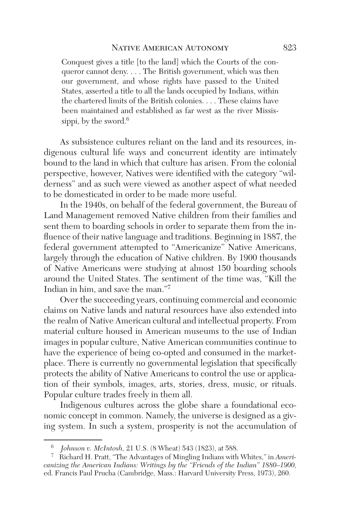Conquest gives a title [to the land] which the Courts of the conqueror cannot deny. . . . The British government, which was then our government, and whose rights have passed to the United States, asserted a title to all the lands occupied by Indians, within the chartered limits of the British colonies. . . . These claims have been maintained and established as far west as the river Mississippi, by the sword. $6$ 

As subsistence cultures reliant on the land and its resources, indigenous cultural life ways and concurrent identity are intimately bound to the land in which that culture has arisen. From the colonial perspective, however, Natives were identified with the category "wilderness" and as such were viewed as another aspect of what needed to be domesticated in order to be made more useful.

In the 1940s, on behalf of the federal government, the Bureau of Land Management removed Native children from their families and sent them to boarding schools in order to separate them from the influence of their native language and traditions. Beginning in 1887, the federal government attempted to "Americanize" Native Americans, largely through the education of Native children. By 1900 thousands of Native Americans were studying at almost 150 boarding schools around the United States. The sentiment of the time was, "Kill the Indian in him, and save the man."7

Over the succeeding years, continuing commercial and economic claims on Native lands and natural resources have also extended into the realm of Native American cultural and intellectual property. From material culture housed in American museums to the use of Indian images in popular culture, Native American communities continue to have the experience of being co-opted and consumed in the marketplace. There is currently no governmental legislation that specifically protects the ability of Native Americans to control the use or application of their symbols, images, arts, stories, dress, music, or rituals. Popular culture trades freely in them all.

Indigenous cultures across the globe share a foundational economic concept in common. Namely, the universe is designed as a giving system. In such a system, prosperity is not the accumulation of

<sup>6</sup> *Johnson v. McIntosh,* 21 U.S. (8 Wheat) 543 (1823), at 588.

<sup>7</sup> Richard H. Pratt, "The Advantages of Mingling Indians with Whites," in *Americanizing the American Indians: Writings by the "Friends of the Indian" 1880–1900,* ed. Francis Paul Prucha (Cambridge, Mass.: Harvard University Press, 1973), 260.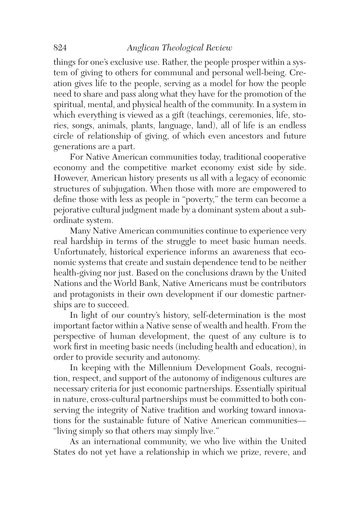## 824 *Anglican Theological Review*

things for one's exclusive use. Rather, the people prosper within a system of giving to others for communal and personal well-being. Creation gives life to the people, serving as a model for how the people need to share and pass along what they have for the promotion of the spiritual, mental, and physical health of the community. In a system in which everything is viewed as a gift (teachings, ceremonies, life, stories, songs, animals, plants, language, land), all of life is an endless circle of relationship of giving, of which even ancestors and future generations are a part.

For Native American communities today, traditional cooperative economy and the competitive market economy exist side by side. However, American history presents us all with a legacy of economic structures of subjugation. When those with more are empowered to define those with less as people in "poverty," the term can become a pejorative cultural judgment made by a dominant system about a subordinate system.

Many Native American communities continue to experience very real hardship in terms of the struggle to meet basic human needs. Unfortunately, historical experience informs an awareness that economic systems that create and sustain dependence tend to be neither health-giving nor just. Based on the conclusions drawn by the United Nations and the World Bank, Native Americans must be contributors and protagonists in their own development if our domestic partnerships are to succeed.

In light of our country's history, self-determination is the most important factor within a Native sense of wealth and health. From the perspective of human development, the quest of any culture is to work first in meeting basic needs (including health and education), in order to provide security and autonomy.

In keeping with the Millennium Development Goals, recognition, respect, and support of the autonomy of indigenous cultures are necessary criteria for just economic partnerships. Essentially spiritual in nature, cross-cultural partnerships must be committed to both conserving the integrity of Native tradition and working toward innovations for the sustainable future of Native American communities— "living simply so that others may simply live."

As an international community, we who live within the United States do not yet have a relationship in which we prize, revere, and